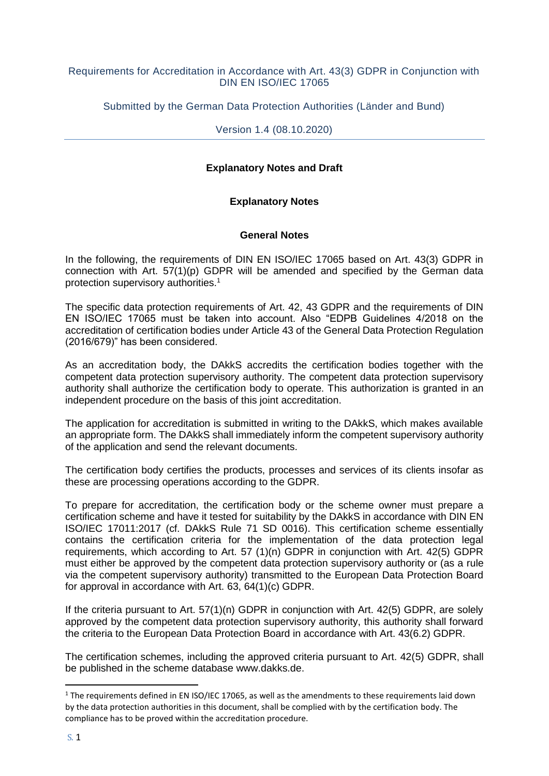#### Requirements for Accreditation in Accordance with Art. 43(3) GDPR in Conjunction with DIN EN ISO/IEC 17065

Submitted by the German Data Protection Authorities (Länder and Bund)

Version 1.4 (08.10.2020)

#### **Explanatory Notes and Draft**

#### **Explanatory Notes**

#### **General Notes**

In the following, the requirements of DIN EN ISO/IEC 17065 based on Art. 43(3) GDPR in connection with Art. 57(1)(p) GDPR will be amended and specified by the German data protection supervisory authorities.<sup>1</sup>

The specific data protection requirements of Art. 42, 43 GDPR and the requirements of DIN EN ISO/IEC 17065 must be taken into account. Also "EDPB Guidelines 4/2018 on the accreditation of certification bodies under Article 43 of the General Data Protection Regulation (2016/679)" has been considered.

As an accreditation body, the DAkkS accredits the certification bodies together with the competent data protection supervisory authority. The competent data protection supervisory authority shall authorize the certification body to operate. This authorization is granted in an independent procedure on the basis of this joint accreditation.

The application for accreditation is submitted in writing to the DAkkS, which makes available an appropriate form. The DAkkS shall immediately inform the competent supervisory authority of the application and send the relevant documents.

The certification body certifies the products, processes and services of its clients insofar as these are processing operations according to the GDPR.

To prepare for accreditation, the certification body or the scheme owner must prepare a certification scheme and have it tested for suitability by the DAkkS in accordance with DIN EN ISO/IEC 17011:2017 (cf. DAkkS Rule 71 SD 0016). This certification scheme essentially contains the certification criteria for the implementation of the data protection legal requirements, which according to Art. 57 (1)(n) GDPR in conjunction with Art. 42(5) GDPR must either be approved by the competent data protection supervisory authority or (as a rule via the competent supervisory authority) transmitted to the European Data Protection Board for approval in accordance with Art. 63, 64(1)(c) GDPR.

If the criteria pursuant to Art. 57(1)(n) GDPR in conjunction with Art. 42(5) GDPR, are solely approved by the competent data protection supervisory authority, this authority shall forward the criteria to the European Data Protection Board in accordance with Art. 43(6.2) GDPR.

The certification schemes, including the approved criteria pursuant to Art. 42(5) GDPR, shall be published in the scheme database www.dakks.de.

1

<sup>&</sup>lt;sup>1</sup> The requirements defined in EN ISO/IEC 17065, as well as the amendments to these requirements laid down by the data protection authorities in this document, shall be complied with by the certification body. The compliance has to be proved within the accreditation procedure.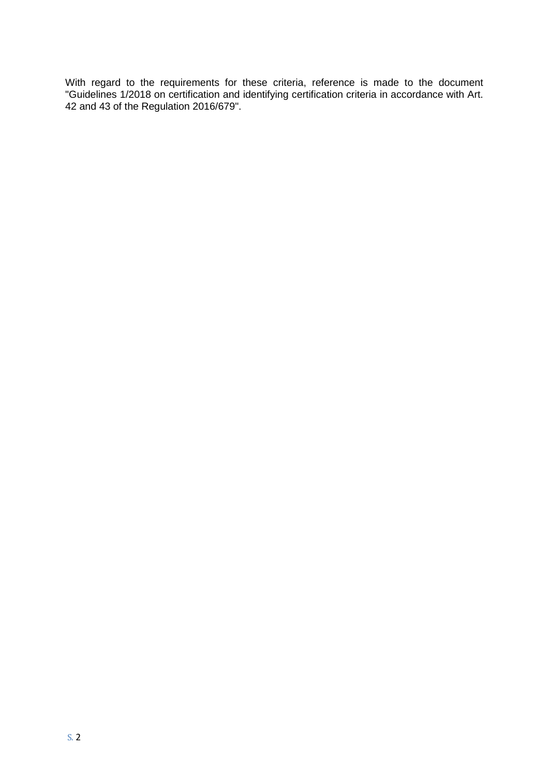With regard to the requirements for these criteria, reference is made to the document "Guidelines 1/2018 on certification and identifying certification criteria in accordance with Art. 42 and 43 of the Regulation 2016/679".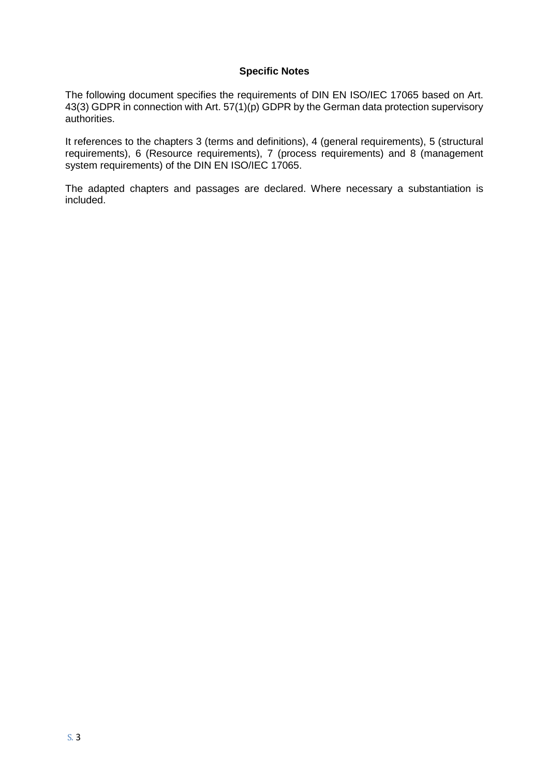#### **Specific Notes**

The following document specifies the requirements of DIN EN ISO/IEC 17065 based on Art. 43(3) GDPR in connection with Art. 57(1)(p) GDPR by the German data protection supervisory authorities.

It references to the chapters 3 (terms and definitions), 4 (general requirements), 5 (structural requirements), 6 (Resource requirements), 7 (process requirements) and 8 (management system requirements) of the DIN EN ISO/IEC 17065.

The adapted chapters and passages are declared. Where necessary a substantiation is included.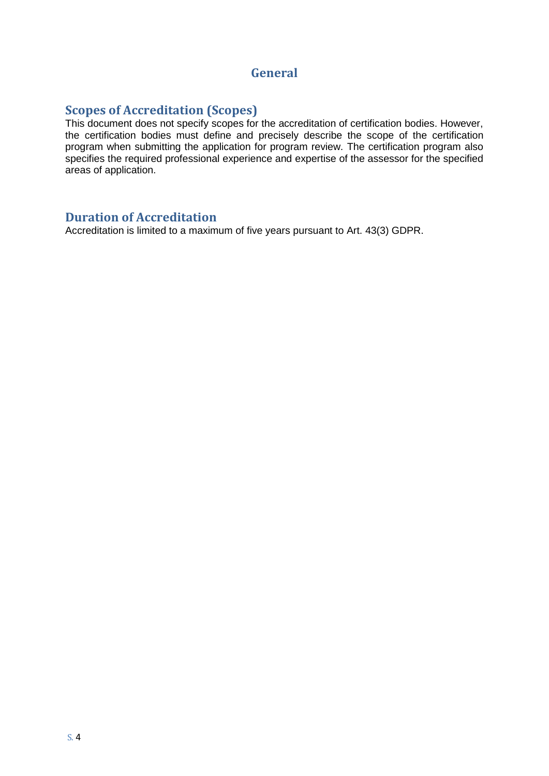### **General**

### **Scopes of Accreditation (Scopes)**

This document does not specify scopes for the accreditation of certification bodies. However, the certification bodies must define and precisely describe the scope of the certification program when submitting the application for program review. The certification program also specifies the required professional experience and expertise of the assessor for the specified areas of application.

#### **Duration of Accreditation**

Accreditation is limited to a maximum of five years pursuant to Art. 43(3) GDPR.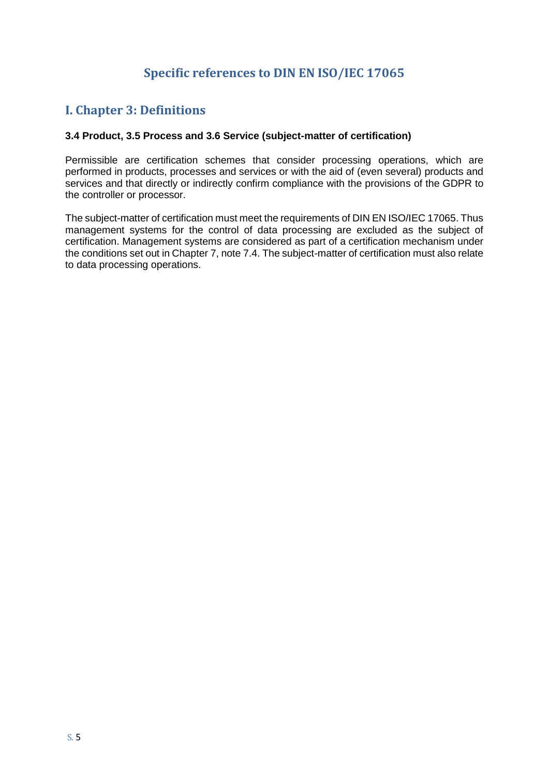## **Specific references to DIN EN ISO/IEC 17065**

## **I. Chapter 3: Definitions**

#### **3.4 Product, 3.5 Process and 3.6 Service (subject-matter of certification)**

Permissible are certification schemes that consider processing operations, which are performed in products, processes and services or with the aid of (even several) products and services and that directly or indirectly confirm compliance with the provisions of the GDPR to the controller or processor.

The subject-matter of certification must meet the requirements of DIN EN ISO/IEC 17065. Thus management systems for the control of data processing are excluded as the subject of certification. Management systems are considered as part of a certification mechanism under the conditions set out in Chapter 7, note 7.4. The subject-matter of certification must also relate to data processing operations.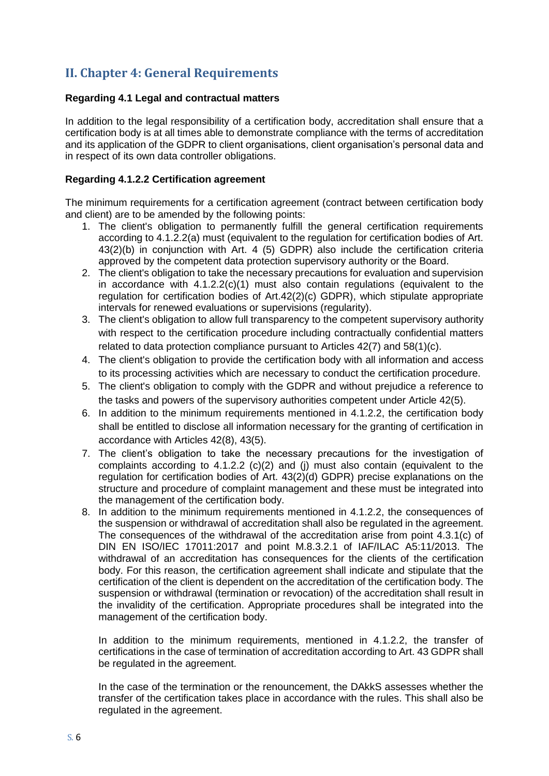## **II. Chapter 4: General Requirements**

#### **Regarding 4.1 Legal and contractual matters**

In addition to the legal responsibility of a certification body, accreditation shall ensure that a certification body is at all times able to demonstrate compliance with the terms of accreditation and its application of the GDPR to client organisations, client organisation's personal data and in respect of its own data controller obligations.

#### **Regarding 4.1.2.2 Certification agreement**

The minimum requirements for a certification agreement (contract between certification body and client) are to be amended by the following points:

- 1. The client's obligation to permanently fulfill the general certification requirements according to 4.1.2.2(a) must (equivalent to the regulation for certification bodies of Art. 43(2)(b) in conjunction with Art. 4 (5) GDPR) also include the certification criteria approved by the competent data protection supervisory authority or the Board.
- 2. The client's obligation to take the necessary precautions for evaluation and supervision in accordance with 4.1.2.2(c)(1) must also contain regulations (equivalent to the regulation for certification bodies of Art.42(2)(c) GDPR), which stipulate appropriate intervals for renewed evaluations or supervisions (regularity).
- 3. The client's obligation to allow full transparency to the competent supervisory authority with respect to the certification procedure including contractually confidential matters related to data protection compliance pursuant to Articles 42(7) and 58(1)(c).
- 4. The client's obligation to provide the certification body with all information and access to its processing activities which are necessary to conduct the certification procedure.
- 5. The client's obligation to comply with the GDPR and without prejudice a reference to the tasks and powers of the supervisory authorities competent under Article 42(5).
- 6. In addition to the minimum requirements mentioned in 4.1.2.2, the certification body shall be entitled to disclose all information necessary for the granting of certification in accordance with Articles 42(8), 43(5).
- 7. The client's obligation to take the necessary precautions for the investigation of complaints according to 4.1.2.2 (c)(2) and (j) must also contain (equivalent to the regulation for certification bodies of Art. 43(2)(d) GDPR) precise explanations on the structure and procedure of complaint management and these must be integrated into the management of the certification body.
- 8. In addition to the minimum requirements mentioned in 4.1.2.2, the consequences of the suspension or withdrawal of accreditation shall also be regulated in the agreement. The consequences of the withdrawal of the accreditation arise from point 4.3.1(c) of DIN EN ISO/IEC 17011:2017 and point M.8.3.2.1 of IAF/ILAC A5:11/2013. The withdrawal of an accreditation has consequences for the clients of the certification body. For this reason, the certification agreement shall indicate and stipulate that the certification of the client is dependent on the accreditation of the certification body. The suspension or withdrawal (termination or revocation) of the accreditation shall result in the invalidity of the certification. Appropriate procedures shall be integrated into the management of the certification body.

In addition to the minimum requirements, mentioned in 4.1.2.2, the transfer of certifications in the case of termination of accreditation according to Art. 43 GDPR shall be regulated in the agreement.

In the case of the termination or the renouncement, the DAkkS assesses whether the transfer of the certification takes place in accordance with the rules. This shall also be regulated in the agreement.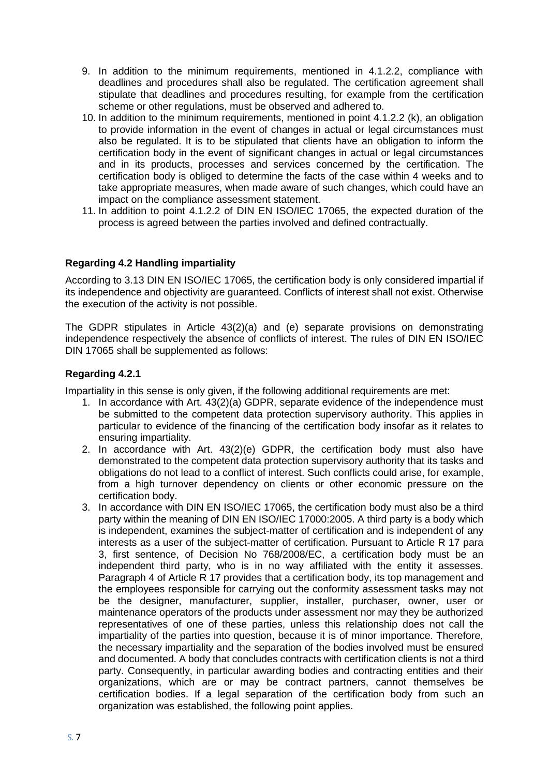- 9. In addition to the minimum requirements, mentioned in 4.1.2.2, compliance with deadlines and procedures shall also be regulated. The certification agreement shall stipulate that deadlines and procedures resulting, for example from the certification scheme or other regulations, must be observed and adhered to.
- 10. In addition to the minimum requirements, mentioned in point 4.1.2.2 (k), an obligation to provide information in the event of changes in actual or legal circumstances must also be regulated. It is to be stipulated that clients have an obligation to inform the certification body in the event of significant changes in actual or legal circumstances and in its products, processes and services concerned by the certification. The certification body is obliged to determine the facts of the case within 4 weeks and to take appropriate measures, when made aware of such changes, which could have an impact on the compliance assessment statement.
- 11. In addition to point 4.1.2.2 of DIN EN ISO/IEC 17065, the expected duration of the process is agreed between the parties involved and defined contractually.

#### **Regarding 4.2 Handling impartiality**

According to 3.13 DIN EN ISO/IEC 17065, the certification body is only considered impartial if its independence and objectivity are guaranteed. Conflicts of interest shall not exist. Otherwise the execution of the activity is not possible.

The GDPR stipulates in Article 43(2)(a) and (e) separate provisions on demonstrating independence respectively the absence of conflicts of interest. The rules of DIN EN ISO/IEC DIN 17065 shall be supplemented as follows:

#### **Regarding 4.2.1**

Impartiality in this sense is only given, if the following additional requirements are met:

- 1. In accordance with Art. 43(2)(a) GDPR, separate evidence of the independence must be submitted to the competent data protection supervisory authority. This applies in particular to evidence of the financing of the certification body insofar as it relates to ensuring impartiality.
- 2. In accordance with Art. 43(2)(e) GDPR, the certification body must also have demonstrated to the competent data protection supervisory authority that its tasks and obligations do not lead to a conflict of interest. Such conflicts could arise, for example, from a high turnover dependency on clients or other economic pressure on the certification body.
- 3. In accordance with DIN EN ISO/IEC 17065, the certification body must also be a third party within the meaning of DIN EN ISO/IEC 17000:2005. A third party is a body which is independent, examines the subject-matter of certification and is independent of any interests as a user of the subject-matter of certification. Pursuant to Article R 17 para 3, first sentence, of Decision No 768/2008/EC, a certification body must be an independent third party, who is in no way affiliated with the entity it assesses. Paragraph 4 of Article R 17 provides that a certification body, its top management and the employees responsible for carrying out the conformity assessment tasks may not be the designer, manufacturer, supplier, installer, purchaser, owner, user or maintenance operators of the products under assessment nor may they be authorized representatives of one of these parties, unless this relationship does not call the impartiality of the parties into question, because it is of minor importance. Therefore, the necessary impartiality and the separation of the bodies involved must be ensured and documented. A body that concludes contracts with certification clients is not a third party. Consequently, in particular awarding bodies and contracting entities and their organizations, which are or may be contract partners, cannot themselves be certification bodies. If a legal separation of the certification body from such an organization was established, the following point applies.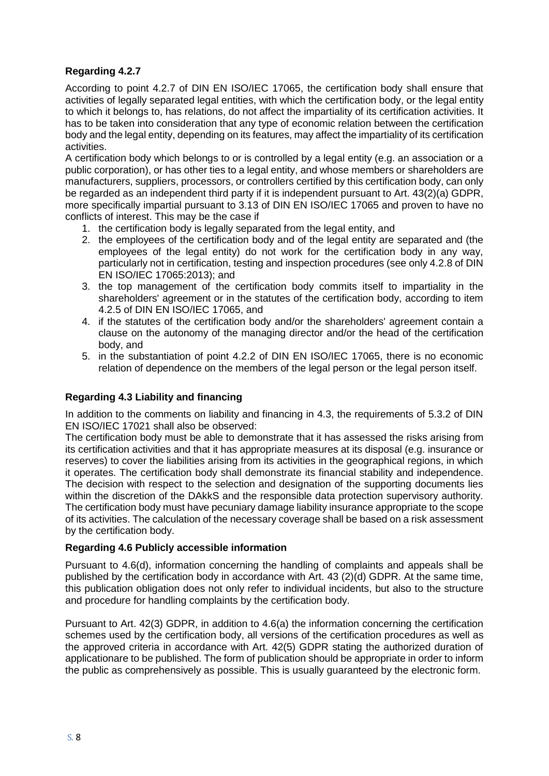#### **Regarding 4.2.7**

According to point 4.2.7 of DIN EN ISO/IEC 17065, the certification body shall ensure that activities of legally separated legal entities, with which the certification body, or the legal entity to which it belongs to, has relations, do not affect the impartiality of its certification activities. It has to be taken into consideration that any type of economic relation between the certification body and the legal entity, depending on its features, may affect the impartiality of its certification activities.

A certification body which belongs to or is controlled by a legal entity (e.g. an association or a public corporation), or has other ties to a legal entity, and whose members or shareholders are manufacturers, suppliers, processors, or controllers certified by this certification body, can only be regarded as an independent third party if it is independent pursuant to Art. 43(2)(a) GDPR, more specifically impartial pursuant to 3.13 of DIN EN ISO/IEC 17065 and proven to have no conflicts of interest. This may be the case if

- 1. the certification body is legally separated from the legal entity, and
- 2. the employees of the certification body and of the legal entity are separated and (the employees of the legal entity) do not work for the certification body in any way, particularly not in certification, testing and inspection procedures (see only 4.2.8 of DIN EN ISO/IEC 17065:2013); and
- 3. the top management of the certification body commits itself to impartiality in the shareholders' agreement or in the statutes of the certification body, according to item 4.2.5 of DIN EN ISO/IEC 17065, and
- 4. if the statutes of the certification body and/or the shareholders' agreement contain a clause on the autonomy of the managing director and/or the head of the certification body, and
- 5. in the substantiation of point 4.2.2 of DIN EN ISO/IEC 17065, there is no economic relation of dependence on the members of the legal person or the legal person itself.

#### **Regarding 4.3 Liability and financing**

In addition to the comments on liability and financing in 4.3, the requirements of 5.3.2 of DIN EN ISO/IEC 17021 shall also be observed:

The certification body must be able to demonstrate that it has assessed the risks arising from its certification activities and that it has appropriate measures at its disposal (e.g. insurance or reserves) to cover the liabilities arising from its activities in the geographical regions, in which it operates. The certification body shall demonstrate its financial stability and independence. The decision with respect to the selection and designation of the supporting documents lies within the discretion of the DAkkS and the responsible data protection supervisory authority. The certification body must have pecuniary damage liability insurance appropriate to the scope of its activities. The calculation of the necessary coverage shall be based on a risk assessment by the certification body.

#### **Regarding 4.6 Publicly accessible information**

Pursuant to 4.6(d), information concerning the handling of complaints and appeals shall be published by the certification body in accordance with Art. 43 (2)(d) GDPR. At the same time, this publication obligation does not only refer to individual incidents, but also to the structure and procedure for handling complaints by the certification body.

Pursuant to Art. 42(3) GDPR, in addition to 4.6(a) the information concerning the certification schemes used by the certification body, all versions of the certification procedures as well as the approved criteria in accordance with Art. 42(5) GDPR stating the authorized duration of applicationare to be published. The form of publication should be appropriate in order to inform the public as comprehensively as possible. This is usually guaranteed by the electronic form.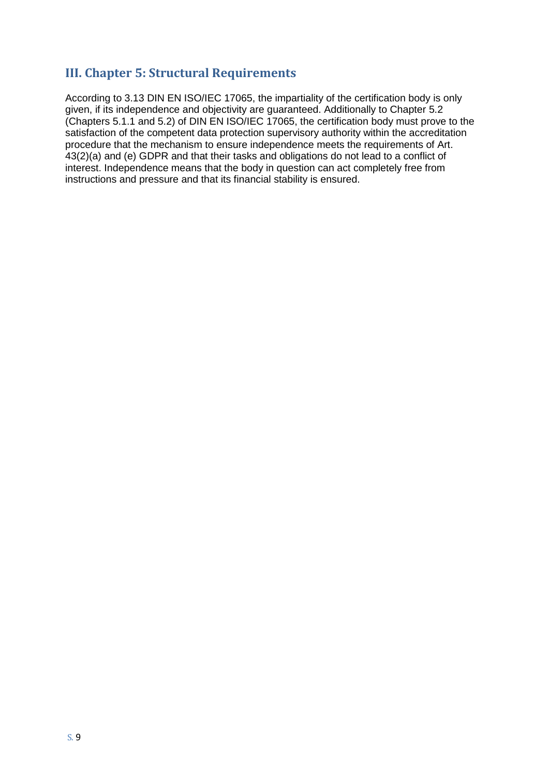## **III. Chapter 5: Structural Requirements**

According to 3.13 DIN EN ISO/IEC 17065, the impartiality of the certification body is only given, if its independence and objectivity are guaranteed. Additionally to Chapter 5.2 (Chapters 5.1.1 and 5.2) of DIN EN ISO/IEC 17065, the certification body must prove to the satisfaction of the competent data protection supervisory authority within the accreditation procedure that the mechanism to ensure independence meets the requirements of Art. 43(2)(a) and (e) GDPR and that their tasks and obligations do not lead to a conflict of interest. Independence means that the body in question can act completely free from instructions and pressure and that its financial stability is ensured.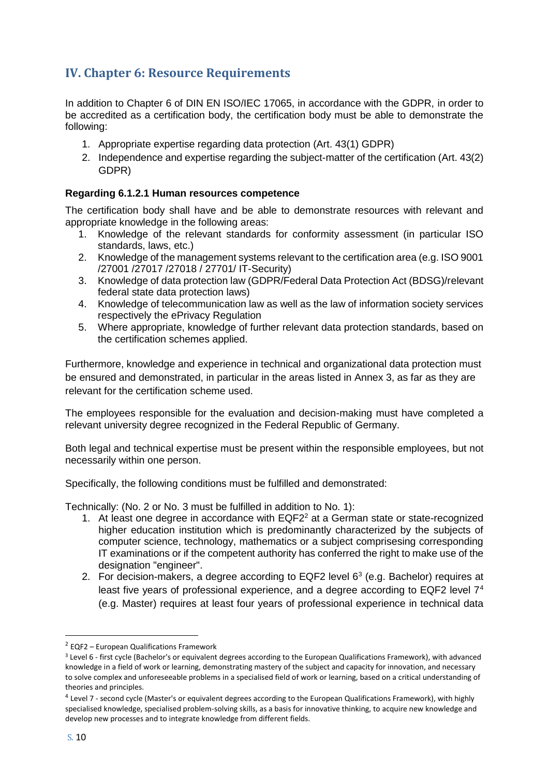## **IV. Chapter 6: Resource Requirements**

In addition to Chapter 6 of DIN EN ISO/IEC 17065, in accordance with the GDPR, in order to be accredited as a certification body, the certification body must be able to demonstrate the following:

- 1. Appropriate expertise regarding data protection (Art. 43(1) GDPR)
- 2. Independence and expertise regarding the subject-matter of the certification (Art. 43(2) GDPR)

#### **Regarding 6.1.2.1 Human resources competence**

The certification body shall have and be able to demonstrate resources with relevant and appropriate knowledge in the following areas:

- 1. Knowledge of the relevant standards for conformity assessment (in particular ISO standards, laws, etc.)
- 2. Knowledge of the management systems relevant to the certification area (e.g. ISO 9001 /27001 /27017 /27018 / 27701/ IT-Security)
- 3. Knowledge of data protection law (GDPR/Federal Data Protection Act (BDSG)/relevant federal state data protection laws)
- 4. Knowledge of telecommunication law as well as the law of information society services respectively the ePrivacy Regulation
- 5. Where appropriate, knowledge of further relevant data protection standards, based on the certification schemes applied.

Furthermore, knowledge and experience in technical and organizational data protection must be ensured and demonstrated, in particular in the areas listed in Annex 3, as far as they are relevant for the certification scheme used.

The employees responsible for the evaluation and decision-making must have completed a relevant university degree recognized in the Federal Republic of Germany.

Both legal and technical expertise must be present within the responsible employees, but not necessarily within one person.

Specifically, the following conditions must be fulfilled and demonstrated:

Technically: (No. 2 or No. 3 must be fulfilled in addition to No. 1):

- 1. At least one degree in accordance with  $EQF2<sup>2</sup>$  at a German state or state-recognized higher education institution which is predominantly characterized by the subjects of computer science, technology, mathematics or a subject comprisesing corresponding IT examinations or if the competent authority has conferred the right to make use of the designation "engineer".
- 2. For decision-makers, a degree according to EQF2 level  $6<sup>3</sup>$  (e.g. Bachelor) requires at least five years of professional experience, and a degree according to EQF2 level  $7<sup>4</sup>$ (e.g. Master) requires at least four years of professional experience in technical data

1

<sup>2</sup> EQF2 – European Qualifications Framework

<sup>3</sup> Level 6 - first cycle (Bachelor's or equivalent degrees according to the European Qualifications Framework), with advanced knowledge in a field of work or learning, demonstrating mastery of the subject and capacity for innovation, and necessary to solve complex and unforeseeable problems in a specialised field of work or learning, based on a critical understanding of theories and principles.

<sup>&</sup>lt;sup>4</sup> Level 7 - second cycle (Master's or equivalent degrees according to the European Qualifications Framework), with highly specialised knowledge, specialised problem-solving skills, as a basis for innovative thinking, to acquire new knowledge and develop new processes and to integrate knowledge from different fields.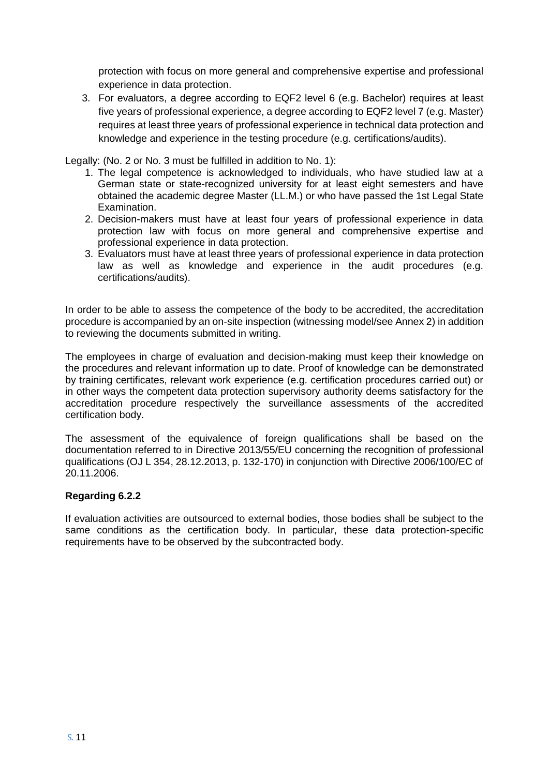protection with focus on more general and comprehensive expertise and professional experience in data protection.

3. For evaluators, a degree according to EQF2 level 6 (e.g. Bachelor) requires at least five years of professional experience, a degree according to EQF2 level 7 (e.g. Master) requires at least three years of professional experience in technical data protection and knowledge and experience in the testing procedure (e.g. certifications/audits).

Legally: (No. 2 or No. 3 must be fulfilled in addition to No. 1):

- 1. The legal competence is acknowledged to individuals, who have studied law at a German state or state-recognized university for at least eight semesters and have obtained the academic degree Master (LL.M.) or who have passed the 1st Legal State Examination.
- 2. Decision-makers must have at least four years of professional experience in data protection law with focus on more general and comprehensive expertise and professional experience in data protection.
- 3. Evaluators must have at least three years of professional experience in data protection law as well as knowledge and experience in the audit procedures (e.g. certifications/audits).

In order to be able to assess the competence of the body to be accredited, the accreditation procedure is accompanied by an on-site inspection (witnessing model/see Annex 2) in addition to reviewing the documents submitted in writing.

The employees in charge of evaluation and decision-making must keep their knowledge on the procedures and relevant information up to date. Proof of knowledge can be demonstrated by training certificates, relevant work experience (e.g. certification procedures carried out) or in other ways the competent data protection supervisory authority deems satisfactory for the accreditation procedure respectively the surveillance assessments of the accredited certification body.

The assessment of the equivalence of foreign qualifications shall be based on the documentation referred to in Directive 2013/55/EU concerning the recognition of professional qualifications (OJ L 354, 28.12.2013, p. 132-170) in conjunction with Directive 2006/100/EC of 20.11.2006.

#### **Regarding 6.2.2**

If evaluation activities are outsourced to external bodies, those bodies shall be subject to the same conditions as the certification body. In particular, these data protection-specific requirements have to be observed by the subcontracted body.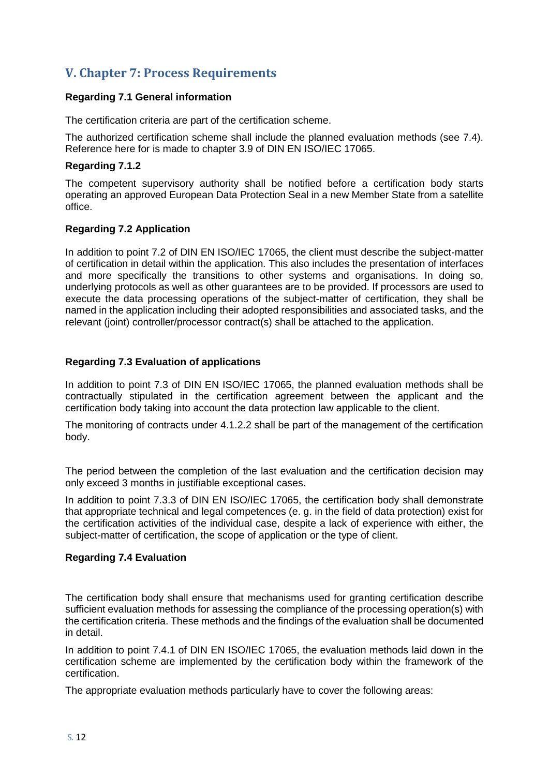## **V. Chapter 7: Process Requirements**

#### **Regarding 7.1 General information**

The certification criteria are part of the certification scheme.

The authorized certification scheme shall include the planned evaluation methods (see 7.4). Reference here for is made to chapter 3.9 of DIN EN ISO/IEC 17065.

#### **Regarding 7.1.2**

The competent supervisory authority shall be notified before a certification body starts operating an approved European Data Protection Seal in a new Member State from a satellite office.

#### **Regarding 7.2 Application**

In addition to point 7.2 of DIN EN ISO/IEC 17065, the client must describe the subject-matter of certification in detail within the application. This also includes the presentation of interfaces and more specifically the transitions to other systems and organisations. In doing so, underlying protocols as well as other guarantees are to be provided. If processors are used to execute the data processing operations of the subject-matter of certification, they shall be named in the application including their adopted responsibilities and associated tasks, and the relevant (joint) controller/processor contract(s) shall be attached to the application.

#### **Regarding 7.3 Evaluation of applications**

In addition to point 7.3 of DIN EN ISO/IEC 17065, the planned evaluation methods shall be contractually stipulated in the certification agreement between the applicant and the certification body taking into account the data protection law applicable to the client.

The monitoring of contracts under 4.1.2.2 shall be part of the management of the certification body.

The period between the completion of the last evaluation and the certification decision may only exceed 3 months in justifiable exceptional cases.

In addition to point 7.3.3 of DIN EN ISO/IEC 17065, the certification body shall demonstrate that appropriate technical and legal competences (e. g. in the field of data protection) exist for the certification activities of the individual case, despite a lack of experience with either, the subject-matter of certification, the scope of application or the type of client.

#### **Regarding 7.4 Evaluation**

The certification body shall ensure that mechanisms used for granting certification describe sufficient evaluation methods for assessing the compliance of the processing operation(s) with the certification criteria. These methods and the findings of the evaluation shall be documented in detail.

In addition to point 7.4.1 of DIN EN ISO/IEC 17065, the evaluation methods laid down in the certification scheme are implemented by the certification body within the framework of the certification.

The appropriate evaluation methods particularly have to cover the following areas: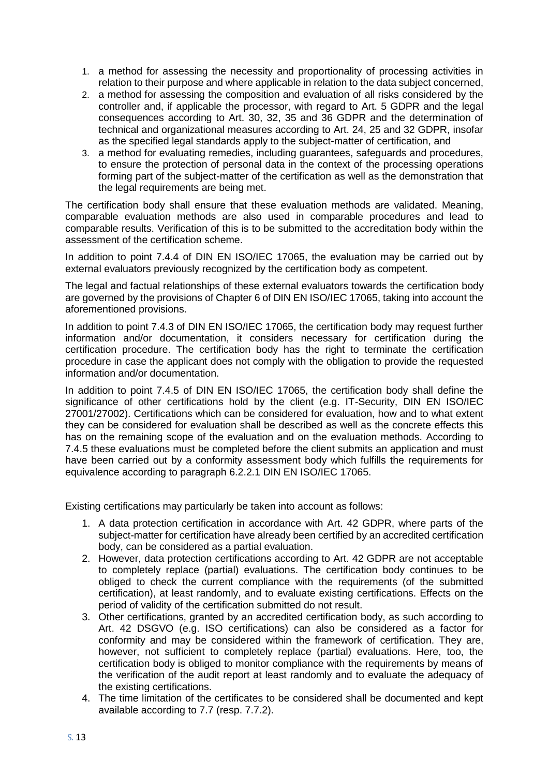- 1. a method for assessing the necessity and proportionality of processing activities in relation to their purpose and where applicable in relation to the data subject concerned,
- 2. a method for assessing the composition and evaluation of all risks considered by the controller and, if applicable the processor, with regard to Art. 5 GDPR and the legal consequences according to Art. 30, 32, 35 and 36 GDPR and the determination of technical and organizational measures according to Art. 24, 25 and 32 GDPR, insofar as the specified legal standards apply to the subject-matter of certification, and
- 3. a method for evaluating remedies, including guarantees, safeguards and procedures, to ensure the protection of personal data in the context of the processing operations forming part of the subject-matter of the certification as well as the demonstration that the legal requirements are being met.

The certification body shall ensure that these evaluation methods are validated. Meaning, comparable evaluation methods are also used in comparable procedures and lead to comparable results. Verification of this is to be submitted to the accreditation body within the assessment of the certification scheme.

In addition to point 7.4.4 of DIN EN ISO/IEC 17065, the evaluation may be carried out by external evaluators previously recognized by the certification body as competent.

The legal and factual relationships of these external evaluators towards the certification body are governed by the provisions of Chapter 6 of DIN EN ISO/IEC 17065, taking into account the aforementioned provisions.

In addition to point 7.4.3 of DIN EN ISO/IEC 17065, the certification body may request further information and/or documentation, it considers necessary for certification during the certification procedure. The certification body has the right to terminate the certification procedure in case the applicant does not comply with the obligation to provide the requested information and/or documentation.

In addition to point 7.4.5 of DIN EN ISO/IEC 17065, the certification body shall define the significance of other certifications hold by the client (e.g. IT-Security, DIN EN ISO/IEC 27001/27002). Certifications which can be considered for evaluation, how and to what extent they can be considered for evaluation shall be described as well as the concrete effects this has on the remaining scope of the evaluation and on the evaluation methods. According to 7.4.5 these evaluations must be completed before the client submits an application and must have been carried out by a conformity assessment body which fulfills the requirements for equivalence according to paragraph 6.2.2.1 DIN EN ISO/IEC 17065.

Existing certifications may particularly be taken into account as follows:

- 1. A data protection certification in accordance with Art. 42 GDPR, where parts of the subject-matter for certification have already been certified by an accredited certification body, can be considered as a partial evaluation.
- 2. However, data protection certifications according to Art. 42 GDPR are not acceptable to completely replace (partial) evaluations. The certification body continues to be obliged to check the current compliance with the requirements (of the submitted certification), at least randomly, and to evaluate existing certifications. Effects on the period of validity of the certification submitted do not result.
- 3. Other certifications, granted by an accredited certification body, as such according to Art. 42 DSGVO (e.g. ISO certifications) can also be considered as a factor for conformity and may be considered within the framework of certification. They are, however, not sufficient to completely replace (partial) evaluations. Here, too, the certification body is obliged to monitor compliance with the requirements by means of the verification of the audit report at least randomly and to evaluate the adequacy of the existing certifications.
- 4. The time limitation of the certificates to be considered shall be documented and kept available according to 7.7 (resp. 7.7.2).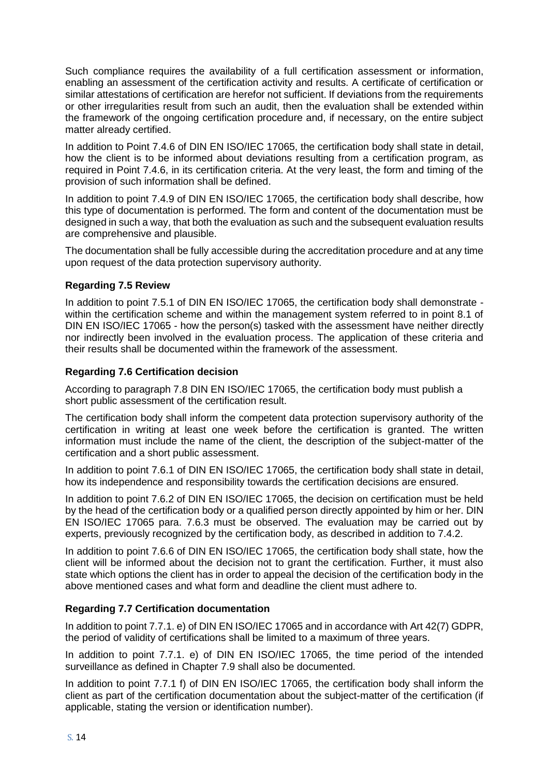Such compliance requires the availability of a full certification assessment or information, enabling an assessment of the certification activity and results. A certificate of certification or similar attestations of certification are herefor not sufficient. If deviations from the requirements or other irregularities result from such an audit, then the evaluation shall be extended within the framework of the ongoing certification procedure and, if necessary, on the entire subject matter already certified.

In addition to Point 7.4.6 of DIN EN ISO/IEC 17065, the certification body shall state in detail, how the client is to be informed about deviations resulting from a certification program, as required in Point 7.4.6, in its certification criteria. At the very least, the form and timing of the provision of such information shall be defined.

In addition to point 7.4.9 of DIN EN ISO/IEC 17065, the certification body shall describe, how this type of documentation is performed. The form and content of the documentation must be designed in such a way, that both the evaluation as such and the subsequent evaluation results are comprehensive and plausible.

The documentation shall be fully accessible during the accreditation procedure and at any time upon request of the data protection supervisory authority.

#### **Regarding 7.5 Review**

In addition to point 7.5.1 of DIN EN ISO/IEC 17065, the certification body shall demonstrate within the certification scheme and within the management system referred to in point 8.1 of DIN EN ISO/IEC 17065 - how the person(s) tasked with the assessment have neither directly nor indirectly been involved in the evaluation process. The application of these criteria and their results shall be documented within the framework of the assessment.

#### **Regarding 7.6 Certification decision**

According to paragraph 7.8 DIN EN ISO/IEC 17065, the certification body must publish a short public assessment of the certification result.

The certification body shall inform the competent data protection supervisory authority of the certification in writing at least one week before the certification is granted. The written information must include the name of the client, the description of the subject-matter of the certification and a short public assessment.

In addition to point 7.6.1 of DIN EN ISO/IEC 17065, the certification body shall state in detail, how its independence and responsibility towards the certification decisions are ensured.

In addition to point 7.6.2 of DIN EN ISO/IEC 17065, the decision on certification must be held by the head of the certification body or a qualified person directly appointed by him or her. DIN EN ISO/IEC 17065 para. 7.6.3 must be observed. The evaluation may be carried out by experts, previously recognized by the certification body, as described in addition to 7.4.2.

In addition to point 7.6.6 of DIN EN ISO/IEC 17065, the certification body shall state, how the client will be informed about the decision not to grant the certification. Further, it must also state which options the client has in order to appeal the decision of the certification body in the above mentioned cases and what form and deadline the client must adhere to.

#### **Regarding 7.7 Certification documentation**

In addition to point 7.7.1. e) of DIN EN ISO/IEC 17065 and in accordance with Art 42(7) GDPR, the period of validity of certifications shall be limited to a maximum of three years.

In addition to point 7.7.1. e) of DIN EN ISO/IEC 17065, the time period of the intended surveillance as defined in Chapter 7.9 shall also be documented.

In addition to point 7.7.1 f) of DIN EN ISO/IEC 17065, the certification body shall inform the client as part of the certification documentation about the subject-matter of the certification (if applicable, stating the version or identification number).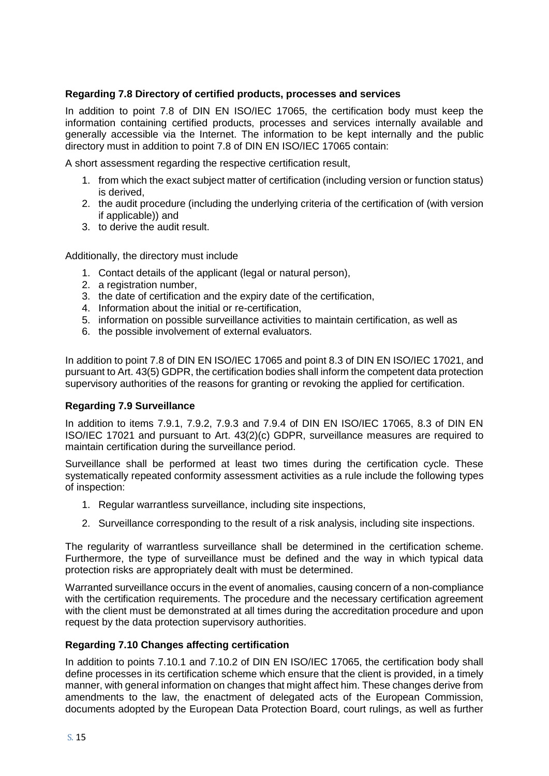#### **Regarding 7.8 Directory of certified products, processes and services**

In addition to point 7.8 of DIN EN ISO/IEC 17065, the certification body must keep the information containing certified products, processes and services internally available and generally accessible via the Internet. The information to be kept internally and the public directory must in addition to point 7.8 of DIN EN ISO/IEC 17065 contain:

A short assessment regarding the respective certification result,

- 1. from which the exact subject matter of certification (including version or function status) is derived,
- 2. the audit procedure (including the underlying criteria of the certification of (with version if applicable)) and
- 3. to derive the audit result.

Additionally, the directory must include

- 1. Contact details of the applicant (legal or natural person),
- 2. a registration number,
- 3. the date of certification and the expiry date of the certification,
- 4. Information about the initial or re-certification,
- 5. information on possible surveillance activities to maintain certification, as well as
- 6. the possible involvement of external evaluators.

In addition to point 7.8 of DIN EN ISO/IEC 17065 and point 8.3 of DIN EN ISO/IEC 17021, and pursuant to Art. 43(5) GDPR, the certification bodies shall inform the competent data protection supervisory authorities of the reasons for granting or revoking the applied for certification.

#### **Regarding 7.9 Surveillance**

In addition to items 7.9.1, 7.9.2, 7.9.3 and 7.9.4 of DIN EN ISO/IEC 17065, 8.3 of DIN EN ISO/IEC 17021 and pursuant to Art. 43(2)(c) GDPR, surveillance measures are required to maintain certification during the surveillance period.

Surveillance shall be performed at least two times during the certification cycle. These systematically repeated conformity assessment activities as a rule include the following types of inspection:

- 1. Regular warrantless surveillance, including site inspections,
- 2. Surveillance corresponding to the result of a risk analysis, including site inspections.

The regularity of warrantless surveillance shall be determined in the certification scheme. Furthermore, the type of surveillance must be defined and the way in which typical data protection risks are appropriately dealt with must be determined.

Warranted surveillance occurs in the event of anomalies, causing concern of a non-compliance with the certification requirements. The procedure and the necessary certification agreement with the client must be demonstrated at all times during the accreditation procedure and upon request by the data protection supervisory authorities.

#### **Regarding 7.10 Changes affecting certification**

In addition to points 7.10.1 and 7.10.2 of DIN EN ISO/IEC 17065, the certification body shall define processes in its certification scheme which ensure that the client is provided, in a timely manner, with general information on changes that might affect him. These changes derive from amendments to the law, the enactment of delegated acts of the European Commission, documents adopted by the European Data Protection Board, court rulings, as well as further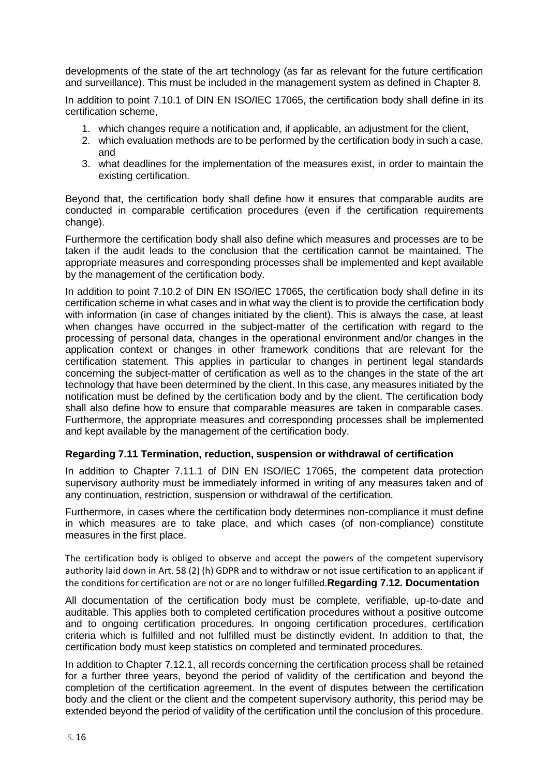developments of the state of the art technology (as far as relevant for the future certification and surveillance). This must be included in the management system as defined in Chapter 8.

In addition to point 7.10.1 of DIN EN ISO/IEC 17065, the certification body shall define in its certification scheme,

- 1. which changes require a notification and, if applicable, an adjustment for the client,
- 2. which evaluation methods are to be performed by the certification body in such a case, and
- 3. what deadlines for the implementation of the measures exist, in order to maintain the existing certification.

Beyond that, the certification body shall define how it ensures that comparable audits are conducted in comparable certification procedures (even if the certification requirements change).

Furthermore the certification body shall also define which measures and processes are to be taken if the audit leads to the conclusion that the certification cannot be maintained. The appropriate measures and corresponding processes shall be implemented and kept available by the management of the certification body.

In addition to point 7.10.2 of DIN EN ISO/IEC 17065, the certification body shall define in its certification scheme in what cases and in what way the client is to provide the certification body with information (in case of changes initiated by the client). This is always the case, at least when changes have occurred in the subject-matter of the certification with regard to the processing of personal data, changes in the operational environment and/or changes in the application context or changes in other framework conditions that are relevant for the certification statement. This applies in particular to changes in pertinent legal standards concerning the subject-matter of certification as well as to the changes in the state of the art technology that have been determined by the client. In this case, any measures initiated by the notification must be defined by the certification body and by the client. The certification body shall also define how to ensure that comparable measures are taken in comparable cases. Furthermore, the appropriate measures and corresponding processes shall be implemented and kept available by the management of the certification body.

#### **Regarding 7.11 Termination, reduction, suspension or withdrawal of certification**

In addition to Chapter 7.11.1 of DIN EN ISO/IEC 17065, the competent data protection supervisory authority must be immediately informed in writing of any measures taken and of any continuation, restriction, suspension or withdrawal of the certification.

Furthermore, in cases where the certification body determines non-compliance it must define in which measures are to take place, and which cases (of non-compliance) constitute measures in the first place.

The certification body is obliged to observe and accept the powers of the competent supervisory authority laid down in Art. 58 (2) (h) GDPR and to withdraw or not issue certification to an applicant if the conditions for certification are not or are no longer fulfilled.**Regarding 7.12. Documentation**

All documentation of the certification body must be complete, verifiable, up-to-date and auditable. This applies both to completed certification procedures without a positive outcome and to ongoing certification procedures. In ongoing certification procedures, certification criteria which is fulfilled and not fulfilled must be distinctly evident. In addition to that, the certification body must keep statistics on completed and terminated procedures.

In addition to Chapter 7.12.1, all records concerning the certification process shall be retained for a further three years, beyond the period of validity of the certification and beyond the completion of the certification agreement. In the event of disputes between the certification body and the client or the client and the competent supervisory authority, this period may be extended beyond the period of validity of the certification until the conclusion of this procedure.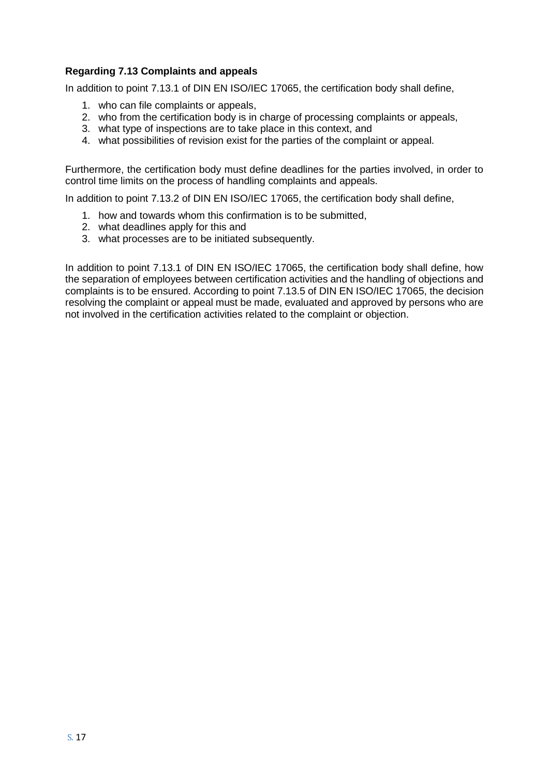#### **Regarding 7.13 Complaints and appeals**

In addition to point 7.13.1 of DIN EN ISO/IEC 17065, the certification body shall define,

- 1. who can file complaints or appeals,
- 2. who from the certification body is in charge of processing complaints or appeals,
- 3. what type of inspections are to take place in this context, and
- 4. what possibilities of revision exist for the parties of the complaint or appeal.

Furthermore, the certification body must define deadlines for the parties involved, in order to control time limits on the process of handling complaints and appeals.

In addition to point 7.13.2 of DIN EN ISO/IEC 17065, the certification body shall define,

- 1. how and towards whom this confirmation is to be submitted,
- 2. what deadlines apply for this and
- 3. what processes are to be initiated subsequently.

In addition to point 7.13.1 of DIN EN ISO/IEC 17065, the certification body shall define, how the separation of employees between certification activities and the handling of objections and complaints is to be ensured. According to point 7.13.5 of DIN EN ISO/IEC 17065, the decision resolving the complaint or appeal must be made, evaluated and approved by persons who are not involved in the certification activities related to the complaint or objection.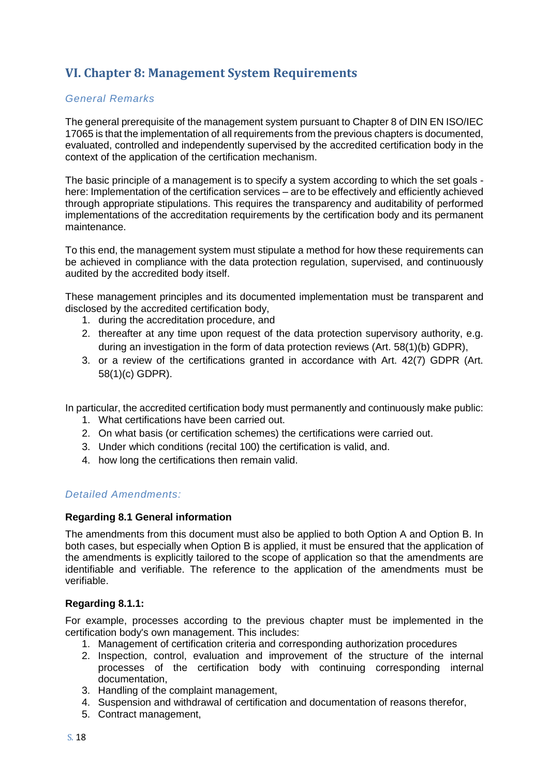## **VI. Chapter 8: Management System Requirements**

#### *General Remarks*

The general prerequisite of the management system pursuant to Chapter 8 of DIN EN ISO/IEC 17065 is that the implementation of all requirements from the previous chapters is documented, evaluated, controlled and independently supervised by the accredited certification body in the context of the application of the certification mechanism.

The basic principle of a management is to specify a system according to which the set goals here: Implementation of the certification services – are to be effectively and efficiently achieved through appropriate stipulations. This requires the transparency and auditability of performed implementations of the accreditation requirements by the certification body and its permanent maintenance.

To this end, the management system must stipulate a method for how these requirements can be achieved in compliance with the data protection regulation, supervised, and continuously audited by the accredited body itself.

These management principles and its documented implementation must be transparent and disclosed by the accredited certification body,

- 1. during the accreditation procedure, and
- 2. thereafter at any time upon request of the data protection supervisory authority, e.g. during an investigation in the form of data protection reviews (Art. 58(1)(b) GDPR),
- 3. or a review of the certifications granted in accordance with Art. 42(7) GDPR (Art. 58(1)(c) GDPR).

In particular, the accredited certification body must permanently and continuously make public:

- 1. What certifications have been carried out.
- 2. On what basis (or certification schemes) the certifications were carried out.
- 3. Under which conditions (recital 100) the certification is valid, and.
- 4. how long the certifications then remain valid.

#### *Detailed Amendments:*

#### **Regarding 8.1 General information**

The amendments from this document must also be applied to both Option A and Option B. In both cases, but especially when Option B is applied, it must be ensured that the application of the amendments is explicitly tailored to the scope of application so that the amendments are identifiable and verifiable. The reference to the application of the amendments must be verifiable.

#### **Regarding 8.1.1:**

For example, processes according to the previous chapter must be implemented in the certification body's own management. This includes:

- 1. Management of certification criteria and corresponding authorization procedures
- 2. Inspection, control, evaluation and improvement of the structure of the internal processes of the certification body with continuing corresponding internal documentation,
- 3. Handling of the complaint management,
- 4. Suspension and withdrawal of certification and documentation of reasons therefor,
- 5. Contract management,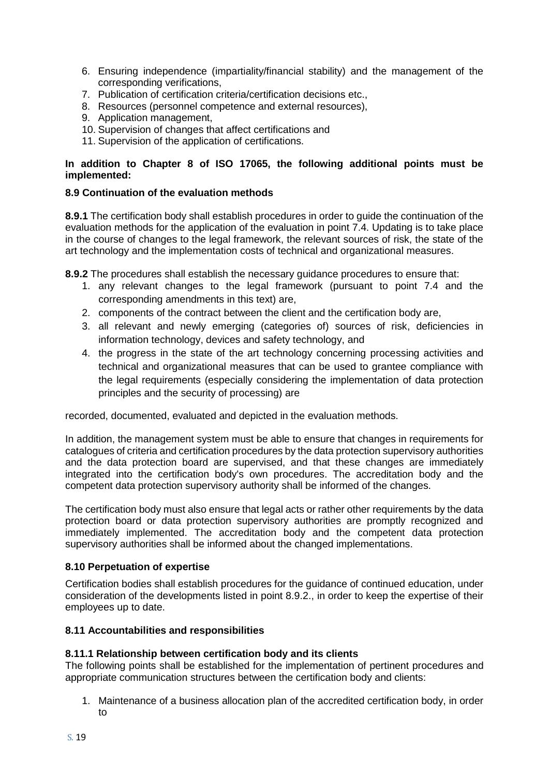- 6. Ensuring independence (impartiality/financial stability) and the management of the corresponding verifications,
- 7. Publication of certification criteria/certification decisions etc.,
- 8. Resources (personnel competence and external resources),
- 9. Application management,
- 10. Supervision of changes that affect certifications and
- 11. Supervision of the application of certifications.

#### **In addition to Chapter 8 of ISO 17065, the following additional points must be implemented:**

#### **8.9 Continuation of the evaluation methods**

**8.9.1** The certification body shall establish procedures in order to guide the continuation of the evaluation methods for the application of the evaluation in point 7.4. Updating is to take place in the course of changes to the legal framework, the relevant sources of risk, the state of the art technology and the implementation costs of technical and organizational measures.

**8.9.2** The procedures shall establish the necessary guidance procedures to ensure that:

- 1. any relevant changes to the legal framework (pursuant to point 7.4 and the corresponding amendments in this text) are,
- 2. components of the contract between the client and the certification body are,
- 3. all relevant and newly emerging (categories of) sources of risk, deficiencies in information technology, devices and safety technology, and
- 4. the progress in the state of the art technology concerning processing activities and technical and organizational measures that can be used to grantee compliance with the legal requirements (especially considering the implementation of data protection principles and the security of processing) are

recorded, documented, evaluated and depicted in the evaluation methods.

In addition, the management system must be able to ensure that changes in requirements for catalogues of criteria and certification procedures by the data protection supervisory authorities and the data protection board are supervised, and that these changes are immediately integrated into the certification body's own procedures. The accreditation body and the competent data protection supervisory authority shall be informed of the changes.

The certification body must also ensure that legal acts or rather other requirements by the data protection board or data protection supervisory authorities are promptly recognized and immediately implemented. The accreditation body and the competent data protection supervisory authorities shall be informed about the changed implementations.

#### **8.10 Perpetuation of expertise**

Certification bodies shall establish procedures for the guidance of continued education, under consideration of the developments listed in point 8.9.2., in order to keep the expertise of their employees up to date.

#### **8.11 Accountabilities and responsibilities**

#### **8.11.1 Relationship between certification body and its clients**

The following points shall be established for the implementation of pertinent procedures and appropriate communication structures between the certification body and clients:

1. Maintenance of a business allocation plan of the accredited certification body, in order to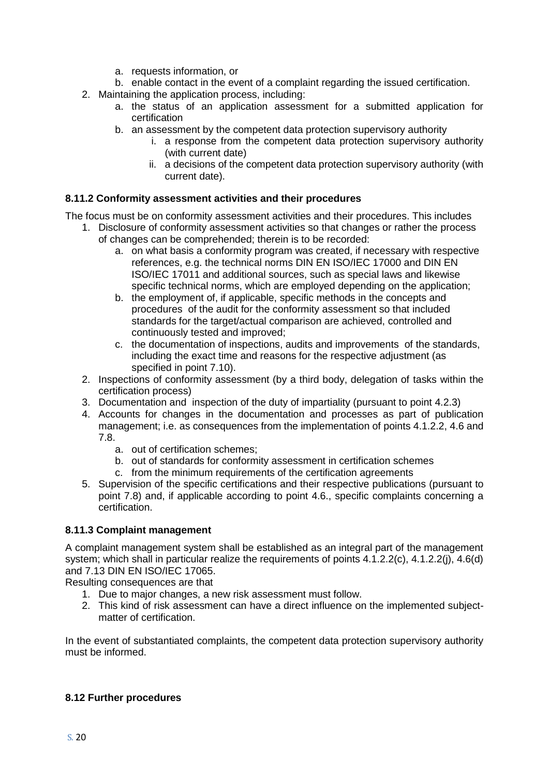- a. requests information, or
- b. enable contact in the event of a complaint regarding the issued certification.
- 2. Maintaining the application process, including:
	- a. the status of an application assessment for a submitted application for certification
	- b. an assessment by the competent data protection supervisory authority
		- i. a response from the competent data protection supervisory authority (with current date)
		- ii. a decisions of the competent data protection supervisory authority (with current date).

#### **8.11.2 Conformity assessment activities and their procedures**

The focus must be on conformity assessment activities and their procedures. This includes

- 1. Disclosure of conformity assessment activities so that changes or rather the process of changes can be comprehended; therein is to be recorded:
	- a. on what basis a conformity program was created, if necessary with respective references, e.g. the technical norms DIN EN ISO/IEC 17000 and DIN EN ISO/IEC 17011 and additional sources, such as special laws and likewise specific technical norms, which are employed depending on the application;
	- b. the employment of, if applicable, specific methods in the concepts and procedures of the audit for the conformity assessment so that included standards for the target/actual comparison are achieved, controlled and continuously tested and improved;
	- c. the documentation of inspections, audits and improvements of the standards, including the exact time and reasons for the respective adjustment (as specified in point 7.10).
- 2. Inspections of conformity assessment (by a third body, delegation of tasks within the certification process)
- 3. Documentation and inspection of the duty of impartiality (pursuant to point 4.2.3)
- 4. Accounts for changes in the documentation and processes as part of publication management; i.e. as consequences from the implementation of points 4.1.2.2, 4.6 and 7.8.
	- a. out of certification schemes;
	- b. out of standards for conformity assessment in certification schemes
	- c. from the minimum requirements of the certification agreements
- 5. Supervision of the specific certifications and their respective publications (pursuant to point 7.8) and, if applicable according to point 4.6., specific complaints concerning a certification.

#### **8.11.3 Complaint management**

A complaint management system shall be established as an integral part of the management system; which shall in particular realize the requirements of points 4.1.2.2(c), 4.1.2.2(j), 4.6(d) and 7.13 DIN EN ISO/IEC 17065.

Resulting consequences are that

- 1. Due to major changes, a new risk assessment must follow.
- 2. This kind of risk assessment can have a direct influence on the implemented subjectmatter of certification.

In the event of substantiated complaints, the competent data protection supervisory authority must be informed.

#### **8.12 Further procedures**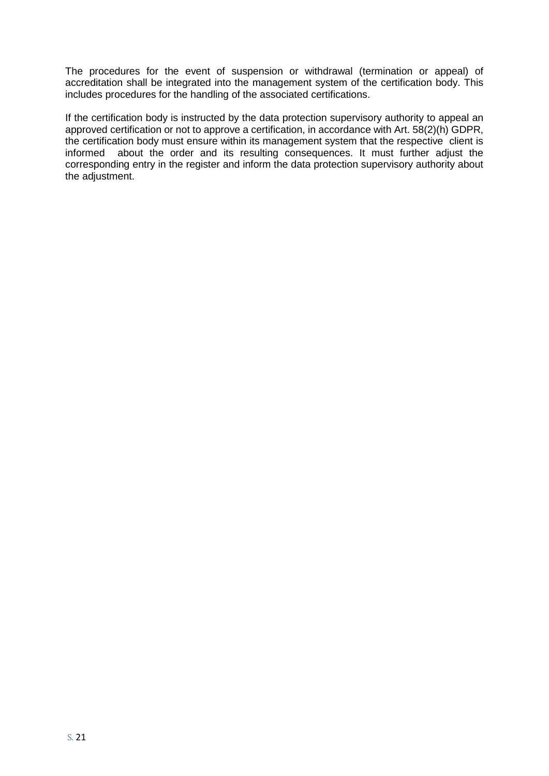The procedures for the event of suspension or withdrawal (termination or appeal) of accreditation shall be integrated into the management system of the certification body. This includes procedures for the handling of the associated certifications.

If the certification body is instructed by the data protection supervisory authority to appeal an approved certification or not to approve a certification, in accordance with Art. 58(2)(h) GDPR, the certification body must ensure within its management system that the respective client is informed about the order and its resulting consequences. It must further adjust the corresponding entry in the register and inform the data protection supervisory authority about the adjustment.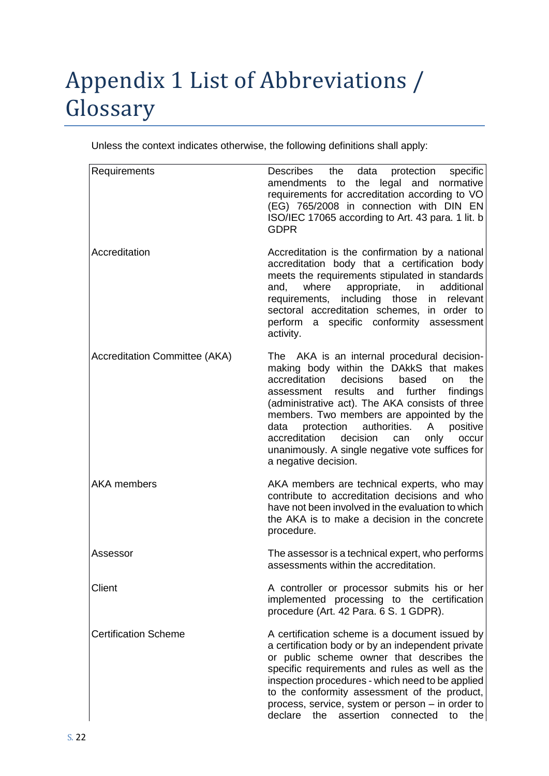# Appendix 1 List of Abbreviations / Glossary

Unless the context indicates otherwise, the following definitions shall apply:

| Requirements                         | Describes<br>the data<br>protection<br>specific<br>amendments to the legal and normative<br>requirements for accreditation according to VO<br>(EG) 765/2008 in connection with DIN EN<br>ISO/IEC 17065 according to Art. 43 para. 1 lit. b<br><b>GDPR</b>                                                                                                                                                                                                                        |
|--------------------------------------|----------------------------------------------------------------------------------------------------------------------------------------------------------------------------------------------------------------------------------------------------------------------------------------------------------------------------------------------------------------------------------------------------------------------------------------------------------------------------------|
| Accreditation                        | Accreditation is the confirmation by a national<br>accreditation body that a certification body<br>meets the requirements stipulated in standards<br>where appropriate, in<br>and,<br>additional<br>including those<br>in relevant<br>requirements,<br>sectoral accreditation schemes,<br>in order to<br>perform a specific conformity assessment<br>activity.                                                                                                                   |
| <b>Accreditation Committee (AKA)</b> | The AKA is an internal procedural decision-<br>making body within the DAkkS that makes<br>accreditation<br>decisions<br>based<br>the<br>on<br>assessment results and further<br>findings<br>(administrative act). The AKA consists of three<br>members. Two members are appointed by the<br>authorities.<br>positive<br>data<br>protection<br>A<br>decision<br>accreditation<br>only<br>can<br>occur<br>unanimously. A single negative vote suffices for<br>a negative decision. |
| <b>AKA</b> members                   | AKA members are technical experts, who may<br>contribute to accreditation decisions and who<br>have not been involved in the evaluation to which<br>the AKA is to make a decision in the concrete<br>procedure.                                                                                                                                                                                                                                                                  |
| Assessor                             | The assessor is a technical expert, who performs<br>assessments within the accreditation.                                                                                                                                                                                                                                                                                                                                                                                        |
| Client                               | A controller or processor submits his or her<br>implemented processing to the certification<br>procedure (Art. 42 Para. 6 S. 1 GDPR).                                                                                                                                                                                                                                                                                                                                            |
| <b>Certification Scheme</b>          | A certification scheme is a document issued by<br>a certification body or by an independent private<br>or public scheme owner that describes the<br>specific requirements and rules as well as the<br>inspection procedures - which need to be applied<br>to the conformity assessment of the product,<br>process, service, system or person - in order to<br>declare<br>the assertion connected<br>to<br>the                                                                    |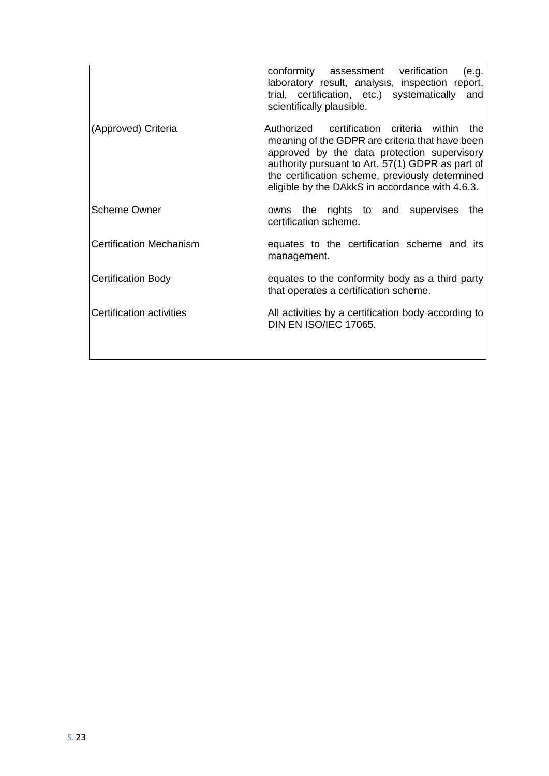|                                | conformity assessment verification<br>(e.g.<br>laboratory result, analysis, inspection report,<br>trial, certification, etc.) systematically and<br>scientifically plausible.                                                                                                                            |
|--------------------------------|----------------------------------------------------------------------------------------------------------------------------------------------------------------------------------------------------------------------------------------------------------------------------------------------------------|
| (Approved) Criteria            | Authorized certification criteria within the<br>meaning of the GDPR are criteria that have been<br>approved by the data protection supervisory<br>authority pursuant to Art. 57(1) GDPR as part of<br>the certification scheme, previously determined<br>eligible by the DAkkS in accordance with 4.6.3. |
| <b>Scheme Owner</b>            | the rights to and supervises<br>the<br>owns<br>certification scheme.                                                                                                                                                                                                                                     |
| <b>Certification Mechanism</b> | equates to the certification scheme and its<br>management.                                                                                                                                                                                                                                               |
| <b>Certification Body</b>      | equates to the conformity body as a third party<br>that operates a certification scheme.                                                                                                                                                                                                                 |
| Certification activities       | All activities by a certification body according to<br><b>DIN EN ISO/IEC 17065.</b>                                                                                                                                                                                                                      |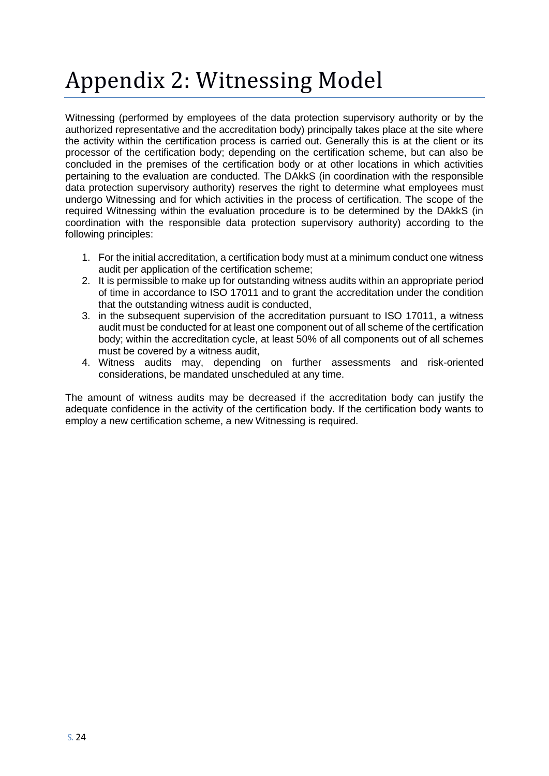# Appendix 2: Witnessing Model

Witnessing (performed by employees of the data protection supervisory authority or by the authorized representative and the accreditation body) principally takes place at the site where the activity within the certification process is carried out. Generally this is at the client or its processor of the certification body; depending on the certification scheme, but can also be concluded in the premises of the certification body or at other locations in which activities pertaining to the evaluation are conducted. The DAkkS (in coordination with the responsible data protection supervisory authority) reserves the right to determine what employees must undergo Witnessing and for which activities in the process of certification. The scope of the required Witnessing within the evaluation procedure is to be determined by the DAkkS (in coordination with the responsible data protection supervisory authority) according to the following principles:

- 1. For the initial accreditation, a certification body must at a minimum conduct one witness audit per application of the certification scheme;
- 2. It is permissible to make up for outstanding witness audits within an appropriate period of time in accordance to ISO 17011 and to grant the accreditation under the condition that the outstanding witness audit is conducted,
- 3. in the subsequent supervision of the accreditation pursuant to ISO 17011, a witness audit must be conducted for at least one component out of all scheme of the certification body; within the accreditation cycle, at least 50% of all components out of all schemes must be covered by a witness audit,
- 4. Witness audits may, depending on further assessments and risk-oriented considerations, be mandated unscheduled at any time.

The amount of witness audits may be decreased if the accreditation body can justify the adequate confidence in the activity of the certification body. If the certification body wants to employ a new certification scheme, a new Witnessing is required.